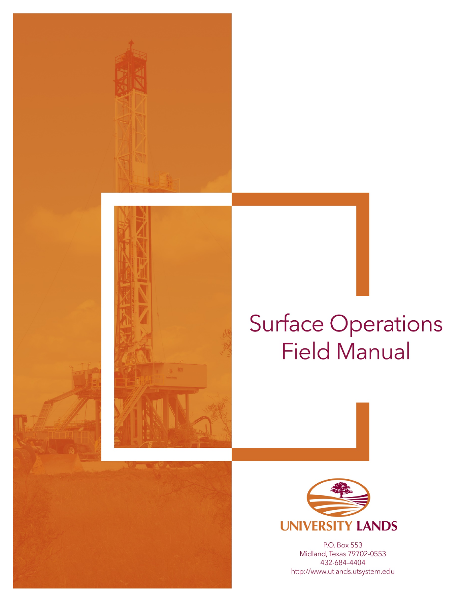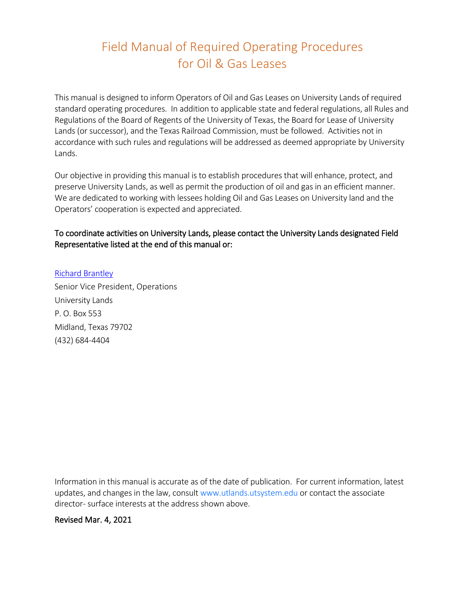# Field Manual of Required Operating Procedures for Oil & Gas Leases

This manual is designed to inform Operators of Oil and Gas Leases on University Lands of required standard operating procedures. In addition to applicable state and federal regulations, all Rules and Regulations of the Board of Regents of the University of Texas, the Board for Lease of University Lands (or successor), and the Texas Railroad Commission, must be followed. Activities not in accordance with such rules and regulations will be addressed as deemed appropriate by University Lands.

Our objective in providing this manual is to establish procedures that will enhance, protect, and preserve University Lands, as well as permit the production of oil and gas in an efficient manner. We are dedicated to working with lessees holding Oil and Gas Leases on University land and the Operators' cooperation is expected and appreciated.

#### To coordinate activities on University Lands, please contact the University Lands designated Field Representative listed at the end of this manual or:

#### [Richard Brantley](mailto:rbrantley@utsystem.edu) Senior Vice President, Operations University Lands

P. O. Box 553 Midland, Texas 79702 (432) 684-4404

Information in this manual is accurate as of the date of publication. For current information, latest updates, and changes in the law, consult www.utlands.utsystem.edu or contact the associate director- surface interests at the address shown above.

#### Revised Mar. 4, 2021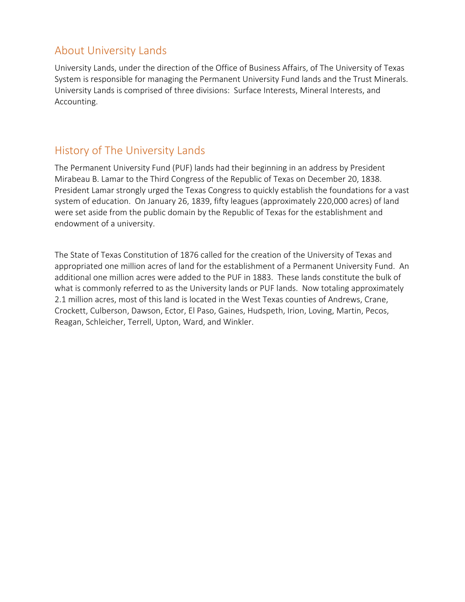### About University Lands

University Lands, under the direction of the Office of Business Affairs, of The University of Texas System is responsible for managing the Permanent University Fund lands and the Trust Minerals. University Lands is comprised of three divisions: Surface Interests, Mineral Interests, and Accounting.

### History of The University Lands

The Permanent University Fund (PUF) lands had their beginning in an address by President Mirabeau B. Lamar to the Third Congress of the Republic of Texas on December 20, 1838. President Lamar strongly urged the Texas Congress to quickly establish the foundations for a vast system of education. On January 26, 1839, fifty leagues (approximately 220,000 acres) of land were set aside from the public domain by the Republic of Texas for the establishment and endowment of a university.

The State of Texas Constitution of 1876 called for the creation of the University of Texas and appropriated one million acres of land for the establishment of a Permanent University Fund. An additional one million acres were added to the PUF in 1883. These lands constitute the bulk of what is commonly referred to as the University lands or PUF lands. Now totaling approximately 2.1 million acres, most of this land is located in the West Texas counties of Andrews, Crane, Crockett, Culberson, Dawson, Ector, El Paso, Gaines, Hudspeth, Irion, Loving, Martin, Pecos, Reagan, Schleicher, Terrell, Upton, Ward, and Winkler.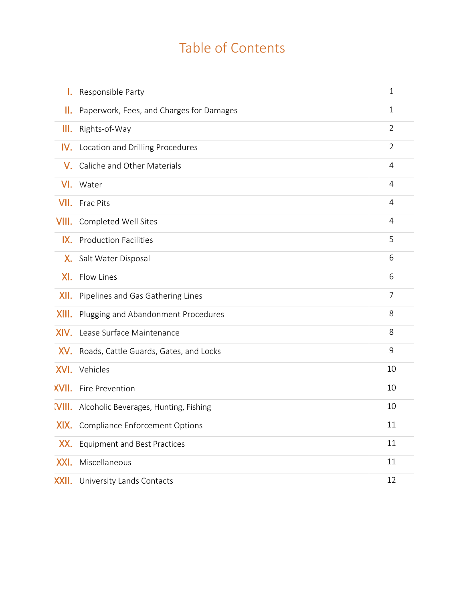# Table of Contents

| I.    | Responsible Party                           | 1              |
|-------|---------------------------------------------|----------------|
| Ш.    | Paperwork, Fees, and Charges for Damages    | 1              |
| III.  | Rights-of-Way                               | $\overline{2}$ |
|       | <b>IV.</b> Location and Drilling Procedures | $\overline{2}$ |
| V.    | Caliche and Other Materials                 | 4              |
| VI.   | Water                                       | 4              |
| VII.  | <b>Frac Pits</b>                            | $\overline{4}$ |
| VIII. | <b>Completed Well Sites</b>                 | 4              |
|       | IX. Production Facilities                   | 5              |
|       | X. Salt Water Disposal                      | 6              |
| XI.   | Flow Lines                                  | 6              |
| XII.  | Pipelines and Gas Gathering Lines           | $\overline{7}$ |
| XIII. | Plugging and Abandonment Procedures         | 8              |
|       | XIV. Lease Surface Maintenance              | 8              |
| XV.   | Roads, Cattle Guards, Gates, and Locks      | 9              |
| XVI.  | Vehicles                                    | 10             |
|       | <b>XVII.</b> Fire Prevention                | 10             |
|       | WIII. Alcoholic Beverages, Hunting, Fishing | 10             |
|       | <b>XIX.</b> Compliance Enforcement Options  | 11             |
| XX.   | <b>Equipment and Best Practices</b>         | 11             |
| XXI.  | Miscellaneous                               | 11             |
| XXII. | University Lands Contacts                   | 12             |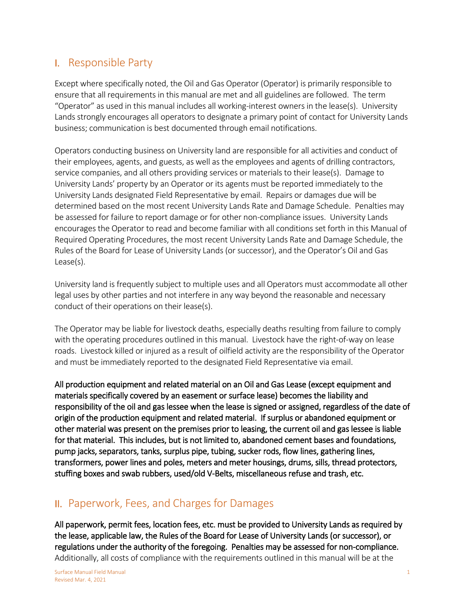### I. Responsible Party

Except where specifically noted, the Oil and Gas Operator (Operator) is primarily responsible to ensure that all requirements in this manual are met and all guidelines are followed. The term "Operator" as used in this manual includes all working-interest owners in the lease(s). University Lands strongly encourages all operators to designate a primary point of contact for University Lands business; communication is best documented through email notifications.

Operators conducting business on University land are responsible for all activities and conduct of their employees, agents, and guests, as well as the employees and agents of drilling contractors, service companies, and all others providing services or materials to their lease(s). Damage to University Lands' property by an Operator or its agents must be reported immediately to the University Lands designated Field Representative by email. Repairs or damages due will be determined based on the most recent University Lands Rate and Damage Schedule. Penalties may be assessed for failure to report damage or for other non-compliance issues. University Lands encourages the Operator to read and become familiar with all conditions set forth in this Manual of Required Operating Procedures, the most recent University Lands Rate and Damage Schedule, the Rules of the Board for Lease of University Lands (or successor), and the Operator's Oil and Gas Lease(s).

University land is frequently subject to multiple uses and all Operators must accommodate all other legal uses by other parties and not interfere in any way beyond the reasonable and necessary conduct of their operations on their lease(s).

The Operator may be liable for livestock deaths, especially deaths resulting from failure to comply with the operating procedures outlined in this manual. Livestock have the right-of-way on lease roads. Livestock killed or injured as a result of oilfield activity are the responsibility of the Operator and must be immediately reported to the designated Field Representative via email.

All production equipment and related material on an Oil and Gas Lease (except equipment and materials specifically covered by an easement or surface lease) becomes the liability and responsibility of the oil and gas lessee when the lease is signed or assigned, regardless of the date of origin of the production equipment and related material. If surplus or abandoned equipment or other material was present on the premises prior to leasing, the current oil and gas lessee is liable for that material. This includes, but is not limited to, abandoned cement bases and foundations, pump jacks, separators, tanks, surplus pipe, tubing, sucker rods, flow lines, gathering lines, transformers, power lines and poles, meters and meter housings, drums, sills, thread protectors, stuffing boxes and swab rubbers, used/old V-Belts, miscellaneous refuse and trash, etc.

#### II. Paperwork, Fees, and Charges for Damages

All paperwork, permit fees, location fees, etc. must be provided to University Lands as required by the lease, applicable law, the Rules of the Board for Lease of University Lands (or successor), or regulations under the authority of the foregoing. Penalties may be assessed for non-compliance. Additionally, all costs of compliance with the requirements outlined in this manual will be at the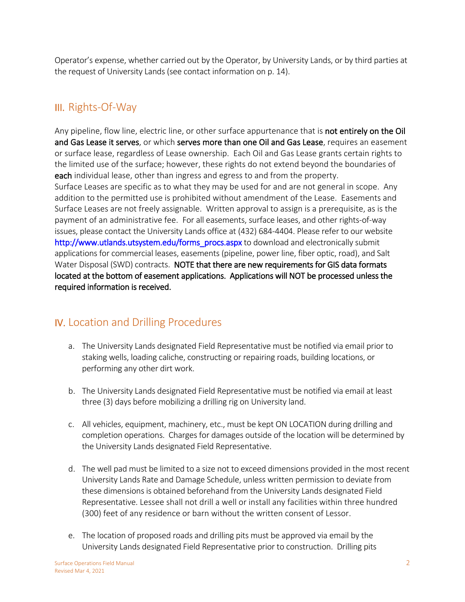Operator's expense, whether carried out by the Operator, by University Lands, or by third parties at the request of University Lands (see contact information on p. 14).

### III. Rights-Of-Way

Any pipeline, flow line, electric line, or other surface appurtenance that is **not entirely on the Oil** and Gas Lease it serves, or which serves more than one Oil and Gas Lease, requires an easement or surface lease, regardless of Lease ownership. Each Oil and Gas Lease grants certain rights to the limited use of the surface; however, these rights do not extend beyond the boundaries of each individual lease, other than ingress and egress to and from the property. Surface Leases are specific as to what they may be used for and are not general in scope. Any addition to the permitted use is prohibited without amendment of the Lease. Easements and Surface Leases are not freely assignable. Written approval to assign is a prerequisite, as is the payment of an administrative fee. For all easements, surface leases, and other rights-of-way issues, please contact the University Lands office at (432) 684-4404. Please refer to our website [http://www.utlands.utsystem.edu/forms\\_procs.aspx](http://www.utlands.utsystem.edu/forms_procs.aspx) to download and electronically submit applications for commercial leases, easements (pipeline, power line, fiber optic, road), and Salt Water Disposal (SWD) contracts. NOTE that there are new requirements for GIS data formats located at the bottom of easement applications. Applications will NOT be processed unless the required information is received.

# IV. Location and Drilling Procedures

- a. The University Lands designated Field Representative must be notified via email prior to staking wells, loading caliche, constructing or repairing roads, building locations, or performing any other dirt work.
- b. The University Lands designated Field Representative must be notified via email at least three (3) days before mobilizing a drilling rig on University land.
- c. All vehicles, equipment, machinery, etc., must be kept ON LOCATION during drilling and completion operations. Charges for damages outside of the location will be determined by the University Lands designated Field Representative.
- d. The well pad must be limited to a size not to exceed dimensions provided in the most recent University Lands Rate and Damage Schedule, unless written permission to deviate from these dimensions is obtained beforehand from the University Lands designated Field Representative. Lessee shall not drill a well or install any facilities within three hundred (300) feet of any residence or barn without the written consent of Lessor.
- e. The location of proposed roads and drilling pits must be approved via email by the University Lands designated Field Representative prior to construction. Drilling pits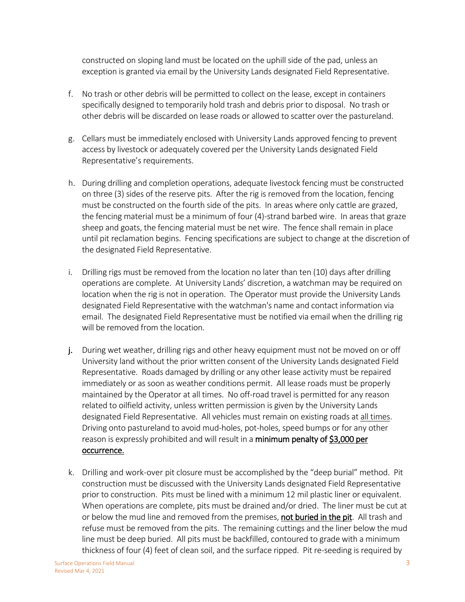constructed on sloping land must be located on the uphill side of the pad, unless an exception is granted via email by the University Lands designated Field Representative.

- f. No trash or other debris will be permitted to collect on the lease, except in containers specifically designed to temporarily hold trash and debris prior to disposal. No trash or other debris will be discarded on lease roads or allowed to scatter over the pastureland.
- g. Cellars must be immediately enclosed with University Lands approved fencing to prevent access by livestock or adequately covered per the University Lands designated Field Representative's requirements.
- h. During drilling and completion operations, adequate livestock fencing must be constructed on three (3) sides of the reserve pits. After the rig is removed from the location, fencing must be constructed on the fourth side of the pits. In areas where only cattle are grazed, the fencing material must be a minimum of four (4)-strand barbed wire. In areas that graze sheep and goats, the fencing material must be net wire. The fence shall remain in place until pit reclamation begins. Fencing specifications are subject to change at the discretion of the designated Field Representative.
- i. Drilling rigs must be removed from the location no later than ten (10) days after drilling operations are complete. At University Lands' discretion, a watchman may be required on location when the rig is not in operation. The Operator must provide the University Lands designated Field Representative with the watchman's name and contact information via email. The designated Field Representative must be notified via email when the drilling rig will be removed from the location.
- j. During wet weather, drilling rigs and other heavy equipment must not be moved on or off University land without the prior written consent of the University Lands designated Field Representative. Roads damaged by drilling or any other lease activity must be repaired immediately or as soon as weather conditions permit. All lease roads must be properly maintained by the Operator at all times. No off-road travel is permitted for any reason related to oilfield activity, unless written permission is given by the University Lands designated Field Representative. All vehicles must remain on existing roads at all times. Driving onto pastureland to avoid mud-holes, pot-holes, speed bumps or for any other reason is expressly prohibited and will result in a minimum penalty of \$3,000 per occurrence.
- k. Drilling and work-over pit closure must be accomplished by the "deep burial" method. Pit construction must be discussed with the University Lands designated Field Representative prior to construction. Pits must be lined with a minimum 12 mil plastic liner or equivalent. When operations are complete, pits must be drained and/or dried. The liner must be cut at or below the mud line and removed from the premises, not buried in the pit. All trash and refuse must be removed from the pits. The remaining cuttings and the liner below the mud line must be deep buried. All pits must be backfilled, contoured to grade with a minimum thickness of four (4) feet of clean soil, and the surface ripped. Pit re-seeding is required by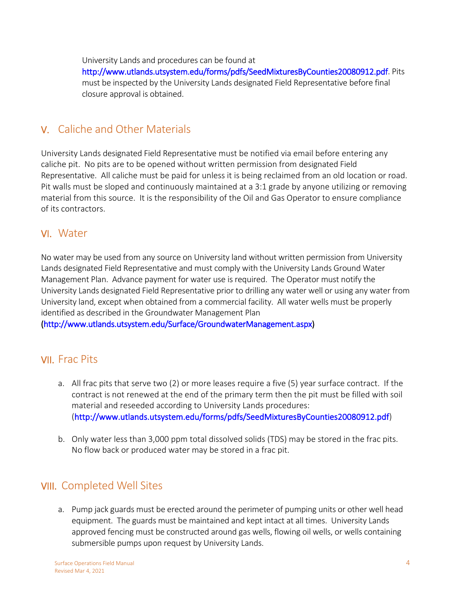University Lands and procedures can be found at

[http://www.utlands.utsystem.edu/forms/pdfs/SeedMixturesByCounties20080912.pdf.](http://www.utlands.utsystem.edu/forms/pdfs/SeedMixturesByCounties20080912.pdf) Pits must be inspected by the University Lands designated Field Representative before final closure approval is obtained.

# V. Caliche and Other Materials

University Lands designated Field Representative must be notified via email before entering any caliche pit. No pits are to be opened without written permission from designated Field Representative. All caliche must be paid for unless it is being reclaimed from an old location or road. Pit walls must be sloped and continuously maintained at a 3:1 grade by anyone utilizing or removing material from this source. It is the responsibility of the Oil and Gas Operator to ensure compliance of its contractors.

#### VI. Water

No water may be used from any source on University land without written permission from University Lands designated Field Representative and must comply with the University Lands Ground Water Management Plan. Advance payment for water use is required. The Operator must notify the University Lands designated Field Representative prior to drilling any water well or using any water from University land, except when obtained from a commercial facility. All water wells must be properly identified as described in the Groundwater Management Plan

[\(http://www.utlands.utsystem.edu/Surface/GroundwaterManagement.aspx\)](http://www.utlands.utsystem.edu/Surface/GroundwaterManagement.aspx)

### VII. Frac Pits

- a. All frac pits that serve two (2) or more leases require a five (5) year surface contract. If the contract is not renewed at the end of the primary term then the pit must be filled with soil material and reseeded according to University Lands procedures: [\(http://www.utlands.utsystem.edu/forms/pdfs/SeedMixturesByCounties20080912.pdf\)](http://www.utlands.utsystem.edu/forms/pdfs/SeedMixturesByCounties20080912.pdf)
- b. Only water less than 3,000 ppm total dissolved solids (TDS) may be stored in the frac pits. No flow back or produced water may be stored in a frac pit.

### VIII. Completed Well Sites

a. Pump jack guards must be erected around the perimeter of pumping units or other well head equipment. The guards must be maintained and kept intact at all times. University Lands approved fencing must be constructed around gas wells, flowing oil wells, or wells containing submersible pumps upon request by University Lands.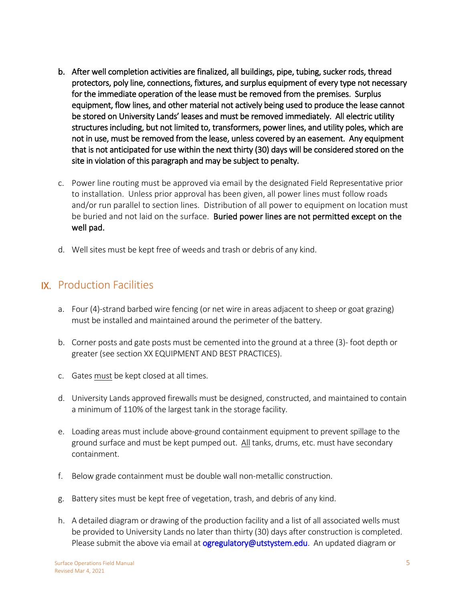- b. After well completion activities are finalized, all buildings, pipe, tubing, sucker rods, thread protectors, poly line, connections, fixtures, and surplus equipment of every type not necessary for the immediate operation of the lease must be removed from the premises. Surplus equipment, flow lines, and other material not actively being used to produce the lease cannot be stored on University Lands' leases and must be removed immediately. All electric utility structures including, but not limited to, transformers, power lines, and utility poles, which are not in use, must be removed from the lease, unless covered by an easement. Any equipment that is not anticipated for use within the next thirty (30) days will be considered stored on the site in violation of this paragraph and may be subject to penalty.
- c. Power line routing must be approved via email by the designated Field Representative prior to installation. Unless prior approval has been given, all power lines must follow roads and/or run parallel to section lines. Distribution of all power to equipment on location must be buried and not laid on the surface. Buried power lines are not permitted except on the well pad.
- d. Well sites must be kept free of weeds and trash or debris of any kind.

#### IX. Production Facilities

- a. Four (4)-strand barbed wire fencing (or net wire in areas adjacent to sheep or goat grazing) must be installed and maintained around the perimeter of the battery.
- b. Corner posts and gate posts must be cemented into the ground at a three (3)- foot depth or greater (see section XX EQUIPMENT AND BEST PRACTICES).
- c. Gates must be kept closed at all times.
- d. University Lands approved firewalls must be designed, constructed, and maintained to contain a minimum of 110% of the largest tank in the storage facility.
- e. Loading areas must include above-ground containment equipment to prevent spillage to the ground surface and must be kept pumped out. All tanks, drums, etc. must have secondary containment.
- f. Below grade containment must be double wall non-metallic construction.
- g. Battery sites must be kept free of vegetation, trash, and debris of any kind.
- h. A detailed diagram or drawing of the production facility and a list of all associated wells must be provided to University Lands no later than thirty (30) days after construction is completed. Please submit the above via email at [ogregulatory@utstystem.edu.](mailto:ogregulatory@utstystem.edu) An updated diagram or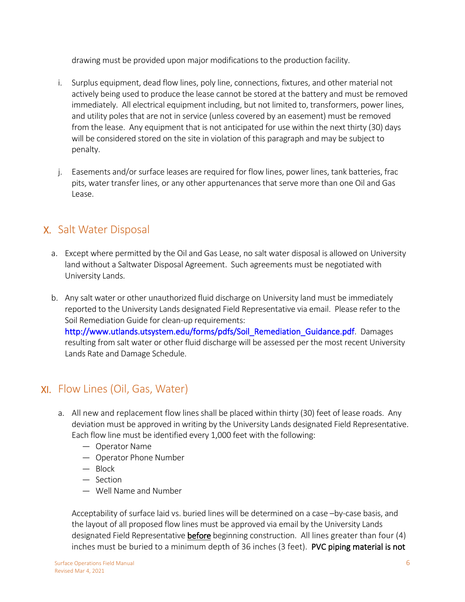drawing must be provided upon major modifications to the production facility.

- i. Surplus equipment, dead flow lines, poly line, connections, fixtures, and other material not actively being used to produce the lease cannot be stored at the battery and must be removed immediately. All electrical equipment including, but not limited to, transformers, power lines, and utility poles that are not in service (unless covered by an easement) must be removed from the lease. Any equipment that is not anticipated for use within the next thirty (30) days will be considered stored on the site in violation of this paragraph and may be subject to penalty.
- j. Easements and/or surface leases are required for flow lines, power lines, tank batteries, frac pits, water transfer lines, or any other appurtenances that serve more than one Oil and Gas Lease.

# X. Salt Water Disposal

- a. Except where permitted by the Oil and Gas Lease, no salt water disposal is allowed on University land without a Saltwater Disposal Agreement. Such agreements must be negotiated with University Lands.
- b. Any salt water or other unauthorized fluid discharge on University land must be immediately reported to the University Lands designated Field Representative via email. Please refer to the Soil Remediation Guide for clean-up requirements: [http://www.utlands.utsystem.edu/forms/pdfs/Soil\\_Remediation\\_Guidance.pdf.](http://www.utlands.utsystem.edu/forms/pdfs/Soil_Remediation_Guidance.pdf) Damages resulting from salt water or other fluid discharge will be assessed per the most recent University Lands Rate and Damage Schedule.

# XI. Flow Lines (Oil, Gas, Water)

- a. All new and replacement flow lines shall be placed within thirty (30) feet of lease roads. Any deviation must be approved in writing by the University Lands designated Field Representative. Each flow line must be identified every 1,000 feet with the following:
	- Operator Name
	- Operator Phone Number
	- Block
	- Section
	- Well Name and Number

Acceptability of surface laid vs. buried lines will be determined on a case –by-case basis, and the layout of all proposed flow lines must be approved via email by the University Lands designated Field Representative before beginning construction. All lines greater than four (4) inches must be buried to a minimum depth of 36 inches (3 feet). PVC piping material is not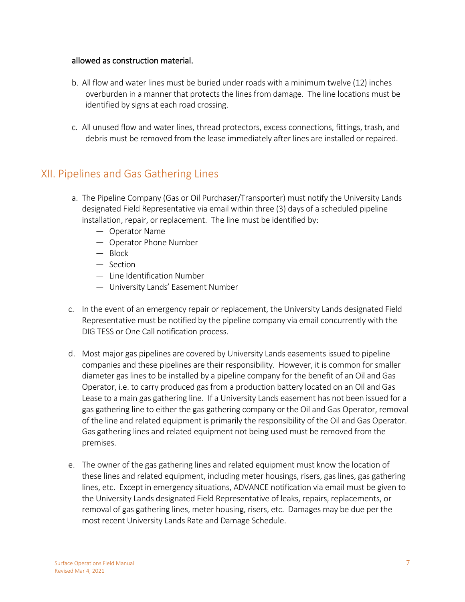#### allowed as construction material.

- b. All flow and water lines must be buried under roads with a minimum twelve (12) inches overburden in a manner that protects the lines from damage. The line locations must be identified by signs at each road crossing.
- c. All unused flow and water lines, thread protectors, excess connections, fittings, trash, and debris must be removed from the lease immediately after lines are installed or repaired.

### XII. Pipelines and Gas Gathering Lines

- a. The Pipeline Company (Gas or Oil Purchaser/Transporter) must notify the University Lands designated Field Representative via email within three (3) days of a scheduled pipeline installation, repair, or replacement. The line must be identified by:
	- Operator Name
	- Operator Phone Number
	- Block
	- Section
	- Line Identification Number
	- University Lands' Easement Number
- c. In the event of an emergency repair or replacement, the University Lands designated Field Representative must be notified by the pipeline company via email concurrently with the DIG TESS or One Call notification process.
- d. Most major gas pipelines are covered by University Lands easements issued to pipeline companies and these pipelines are their responsibility. However, it is common for smaller diameter gas lines to be installed by a pipeline company for the benefit of an Oil and Gas Operator, i.e. to carry produced gas from a production battery located on an Oil and Gas Lease to a main gas gathering line. If a University Lands easement has not been issued for a gas gathering line to either the gas gathering company or the Oil and Gas Operator, removal of the line and related equipment is primarily the responsibility of the Oil and Gas Operator. Gas gathering lines and related equipment not being used must be removed from the premises.
- e. The owner of the gas gathering lines and related equipment must know the location of these lines and related equipment, including meter housings, risers, gas lines, gas gathering lines, etc. Except in emergency situations, ADVANCE notification via email must be given to the University Lands designated Field Representative of leaks, repairs, replacements, or removal of gas gathering lines, meter housing, risers, etc. Damages may be due per the most recent University Lands Rate and Damage Schedule.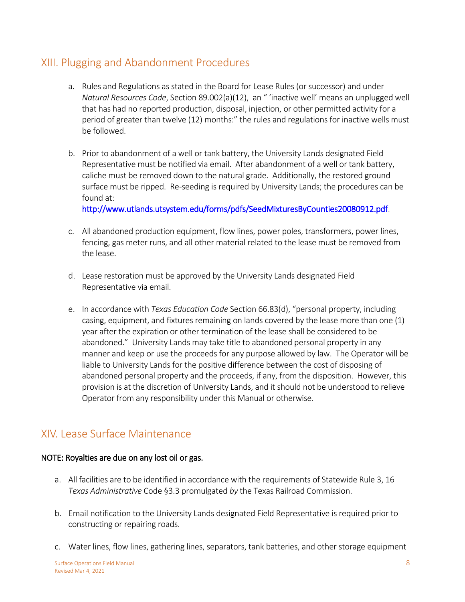### XIII. Plugging and Abandonment Procedures

- a. Rules and Regulations as stated in the Board for Lease Rules (or successor) and under *Natural Resources Code*, Section 89.002(a)(12), an " 'inactive well' means an unplugged well that has had no reported production, disposal, injection, or other permitted activity for a period of greater than twelve (12) months:" the rules and regulations for inactive wells must be followed.
- b. Prior to abandonment of a well or tank battery, the University Lands designated Field Representative must be notified via email. After abandonment of a well or tank battery, caliche must be removed down to the natural grade. Additionally, the restored ground surface must be ripped. Re-seeding is required by University Lands; the procedures can be found at:

[http://www.utlands.utsystem.edu/forms/pdfs/SeedMixturesByCounties20080912.pdf.](http://www.utlands.utsystem.edu/forms/pdfs/SeedMixturesByCounties20080912.pdf)

- c. All abandoned production equipment, flow lines, power poles, transformers, power lines, fencing, gas meter runs, and all other material related to the lease must be removed from the lease.
- d. Lease restoration must be approved by the University Lands designated Field Representative via email.
- e. In accordance with *Texas Education Code* Section 66.83(d), "personal property, including casing, equipment, and fixtures remaining on lands covered by the lease more than one (1) year after the expiration or other termination of the lease shall be considered to be abandoned." University Lands may take title to abandoned personal property in any manner and keep or use the proceeds for any purpose allowed by law. The Operator will be liable to University Lands for the positive difference between the cost of disposing of abandoned personal property and the proceeds, if any, from the disposition. However, this provision is at the discretion of University Lands, and it should not be understood to relieve Operator from any responsibility under this Manual or otherwise.

# XIV. Lease Surface Maintenance

#### NOTE: Royalties are due on any lost oil or gas.

- a. All facilities are to be identified in accordance with the requirements of Statewide Rule 3, 16 *Texas Administrative* Code §3.3 promulgated *by* the Texas Railroad Commission.
- b. Email notification to the University Lands designated Field Representative is required prior to constructing or repairing roads.
- c. Water lines, flow lines, gathering lines, separators, tank batteries, and other storage equipment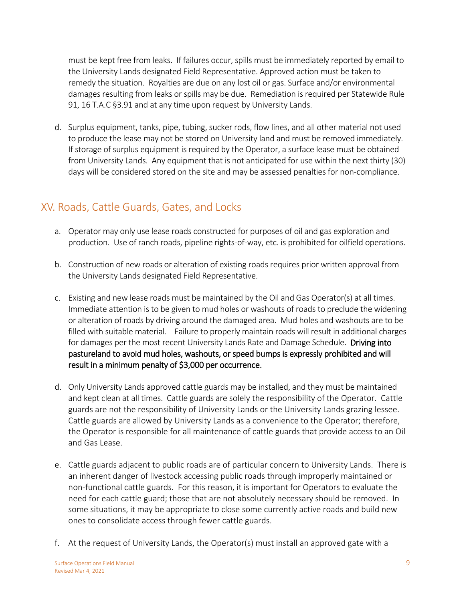must be kept free from leaks. If failures occur, spills must be immediately reported by email to the University Lands designated Field Representative. Approved action must be taken to remedy the situation. Royalties are due on any lost oil or gas. Surface and/or environmental damages resulting from leaks or spills may be due. Remediation is required per Statewide Rule 91, 16 T.A.C §3.91 and at any time upon request by University Lands.

d. Surplus equipment, tanks, pipe, tubing, sucker rods, flow lines, and all other material not used to produce the lease may not be stored on University land and must be removed immediately. If storage of surplus equipment is required by the Operator, a surface lease must be obtained from University Lands. Any equipment that is not anticipated for use within the next thirty (30) days will be considered stored on the site and may be assessed penalties for non-compliance.

# XV. Roads, Cattle Guards, Gates, and Locks

- a. Operator may only use lease roads constructed for purposes of oil and gas exploration and production. Use of ranch roads, pipeline rights-of-way, etc. is prohibited for oilfield operations.
- b. Construction of new roads or alteration of existing roads requires prior written approval from the University Lands designated Field Representative.
- c. Existing and new lease roads must be maintained by the Oil and Gas Operator(s) at all times. Immediate attention is to be given to mud holes or washouts of roads to preclude the widening or alteration of roads by driving around the damaged area. Mud holes and washouts are to be filled with suitable material. Failure to properly maintain roads will result in additional charges for damages per the most recent University Lands Rate and Damage Schedule. Driving into pastureland to avoid mud holes, washouts, or speed bumps is expressly prohibited and will result in a minimum penalty of \$3,000 per occurrence.
- d. Only University Lands approved cattle guards may be installed, and they must be maintained and kept clean at all times. Cattle guards are solely the responsibility of the Operator. Cattle guards are not the responsibility of University Lands or the University Lands grazing lessee. Cattle guards are allowed by University Lands as a convenience to the Operator; therefore, the Operator is responsible for all maintenance of cattle guards that provide access to an Oil and Gas Lease.
- e. Cattle guards adjacent to public roads are of particular concern to University Lands. There is an inherent danger of livestock accessing public roads through improperly maintained or non-functional cattle guards. For this reason, it is important for Operators to evaluate the need for each cattle guard; those that are not absolutely necessary should be removed. In some situations, it may be appropriate to close some currently active roads and build new ones to consolidate access through fewer cattle guards.
- f. At the request of University Lands, the Operator(s) must install an approved gate with a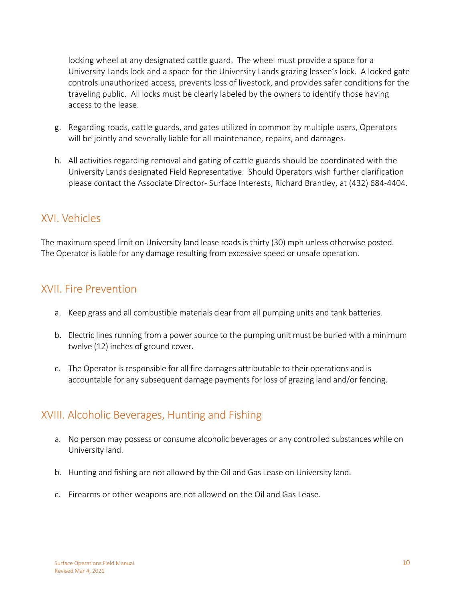locking wheel at any designated cattle guard. The wheel must provide a space for a University Lands lock and a space for the University Lands grazing lessee's lock. A locked gate controls unauthorized access, prevents loss of livestock, and provides safer conditions for the traveling public. All locks must be clearly labeled by the owners to identify those having access to the lease.

- g. Regarding roads, cattle guards, and gates utilized in common by multiple users, Operators will be jointly and severally liable for all maintenance, repairs, and damages.
- h. All activities regarding removal and gating of cattle guards should be coordinated with the University Lands designated Field Representative. Should Operators wish further clarification please contact the Associate Director- Surface Interests, Richard Brantley, at (432) 684-4404.

### XVI. Vehicles

The maximum speed limit on University land lease roads is thirty (30) mph unless otherwise posted. The Operator is liable for any damage resulting from excessive speed or unsafe operation.

### XVII. Fire Prevention

- a. Keep grass and all combustible materials clear from all pumping units and tank batteries.
- b. Electric lines running from a power source to the pumping unit must be buried with a minimum twelve (12) inches of ground cover.
- c. The Operator is responsible for all fire damages attributable to their operations and is accountable for any subsequent damage payments for loss of grazing land and/or fencing.

# XVIII. Alcoholic Beverages, Hunting and Fishing

- a. No person may possess or consume alcoholic beverages or any controlled substances while on University land.
- b. Hunting and fishing are not allowed by the Oil and Gas Lease on University land.
- c. Firearms or other weapons are not allowed on the Oil and Gas Lease.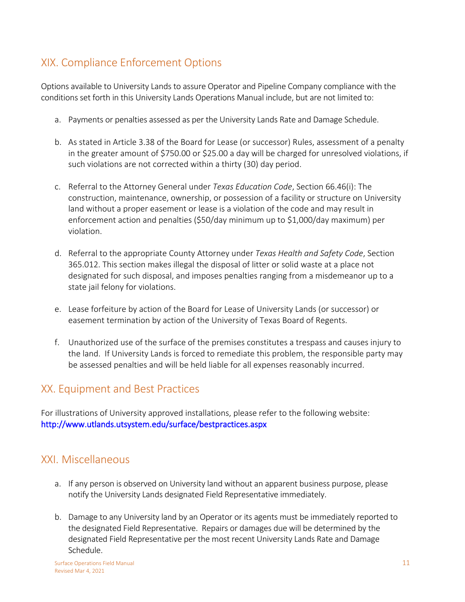# XIX. Compliance Enforcement Options

Options available to University Lands to assure Operator and Pipeline Company compliance with the conditions set forth in this University Lands Operations Manual include, but are not limited to:

- a. Payments or penalties assessed as per the University Lands Rate and Damage Schedule.
- b. As stated in Article 3.38 of the Board for Lease (or successor) Rules, assessment of a penalty in the greater amount of \$750.00 or \$25.00 a day will be charged for unresolved violations, if such violations are not corrected within a thirty (30) day period.
- c. Referral to the Attorney General under *Texas Education Code*, Section 66.46(i): The construction, maintenance, ownership, or possession of a facility or structure on University land without a proper easement or lease is a violation of the code and may result in enforcement action and penalties (\$50/day minimum up to \$1,000/day maximum) per violation.
- d. Referral to the appropriate County Attorney under *Texas Health and Safety Code*, Section 365.012. This section makes illegal the disposal of litter or solid waste at a place not designated for such disposal, and imposes penalties ranging from a misdemeanor up to a state jail felony for violations.
- e. Lease forfeiture by action of the Board for Lease of University Lands (or successor) or easement termination by action of the University of Texas Board of Regents.
- f. Unauthorized use of the surface of the premises constitutes a trespass and causes injury to the land. If University Lands is forced to remediate this problem, the responsible party may be assessed penalties and will be held liable for all expenses reasonably incurred.

# XX. Equipment and Best Practices

For illustrations of University approved installations, please refer to the following website: <http://www.utlands.utsystem.edu/surface/bestpractices.aspx>

### XXI. Miscellaneous

- a. If any person is observed on University land without an apparent business purpose, please notify the University Lands designated Field Representative immediately.
- b. Damage to any University land by an Operator or its agents must be immediately reported to the designated Field Representative. Repairs or damages due will be determined by the designated Field Representative per the most recent University Lands Rate and Damage Schedule.